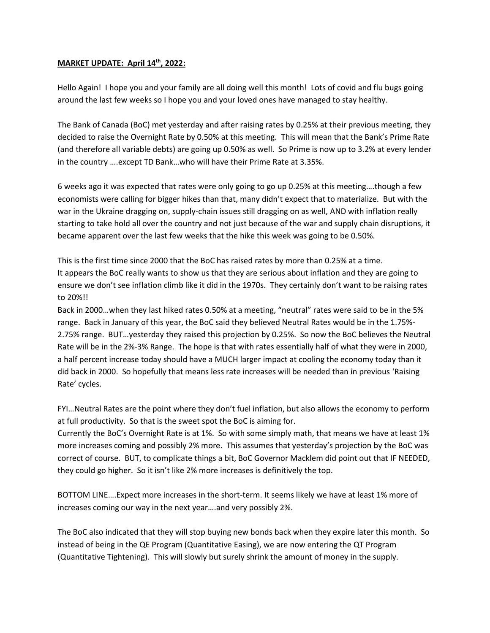#### **MARKET UPDATE: April 14th, 2022:**

Hello Again! I hope you and your family are all doing well this month! Lots of covid and flu bugs going around the last few weeks so I hope you and your loved ones have managed to stay healthy.

The Bank of Canada (BoC) met yesterday and after raising rates by 0.25% at their previous meeting, they decided to raise the Overnight Rate by 0.50% at this meeting. This will mean that the Bank's Prime Rate (and therefore all variable debts) are going up 0.50% as well. So Prime is now up to 3.2% at every lender in the country ….except TD Bank…who will have their Prime Rate at 3.35%.

6 weeks ago it was expected that rates were only going to go up 0.25% at this meeting….though a few economists were calling for bigger hikes than that, many didn't expect that to materialize. But with the war in the Ukraine dragging on, supply-chain issues still dragging on as well, AND with inflation really starting to take hold all over the country and not just because of the war and supply chain disruptions, it became apparent over the last few weeks that the hike this week was going to be 0.50%.

This is the first time since 2000 that the BoC has raised rates by more than 0.25% at a time. It appears the BoC really wants to show us that they are serious about inflation and they are going to ensure we don't see inflation climb like it did in the 1970s. They certainly don't want to be raising rates to 20%!!

Back in 2000…when they last hiked rates 0.50% at a meeting, "neutral" rates were said to be in the 5% range. Back in January of this year, the BoC said they believed Neutral Rates would be in the 1.75%- 2.75% range. BUT…yesterday they raised this projection by 0.25%. So now the BoC believes the Neutral Rate will be in the 2%-3% Range. The hope is that with rates essentially half of what they were in 2000, a half percent increase today should have a MUCH larger impact at cooling the economy today than it did back in 2000. So hopefully that means less rate increases will be needed than in previous 'Raising Rate' cycles.

FYI…Neutral Rates are the point where they don't fuel inflation, but also allows the economy to perform at full productivity. So that is the sweet spot the BoC is aiming for.

Currently the BoC's Overnight Rate is at 1%. So with some simply math, that means we have at least 1% more increases coming and possibly 2% more. This assumes that yesterday's projection by the BoC was correct of course. BUT, to complicate things a bit, BoC Governor Macklem did point out that IF NEEDED, they could go higher. So it isn't like 2% more increases is definitively the top.

BOTTOM LINE….Expect more increases in the short-term. It seems likely we have at least 1% more of increases coming our way in the next year….and very possibly 2%.

The BoC also indicated that they will stop buying new bonds back when they expire later this month. So instead of being in the QE Program (Quantitative Easing), we are now entering the QT Program (Quantitative Tightening). This will slowly but surely shrink the amount of money in the supply.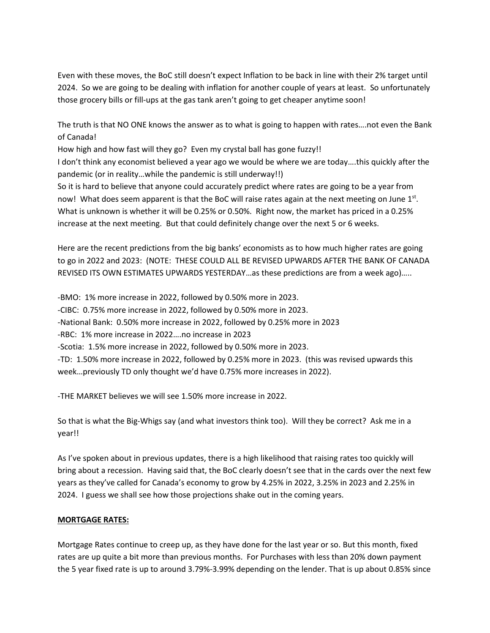Even with these moves, the BoC still doesn't expect Inflation to be back in line with their 2% target until 2024. So we are going to be dealing with inflation for another couple of years at least. So unfortunately those grocery bills or fill-ups at the gas tank aren't going to get cheaper anytime soon!

The truth is that NO ONE knows the answer as to what is going to happen with rates….not even the Bank of Canada!

How high and how fast will they go? Even my crystal ball has gone fuzzy!!

I don't think any economist believed a year ago we would be where we are today….this quickly after the pandemic (or in reality…while the pandemic is still underway!!)

So it is hard to believe that anyone could accurately predict where rates are going to be a year from now! What does seem apparent is that the BoC will raise rates again at the next meeting on June  $1<sup>st</sup>$ . What is unknown is whether it will be 0.25% or 0.50%. Right now, the market has priced in a 0.25% increase at the next meeting. But that could definitely change over the next 5 or 6 weeks.

Here are the recent predictions from the big banks' economists as to how much higher rates are going to go in 2022 and 2023: (NOTE: THESE COULD ALL BE REVISED UPWARDS AFTER THE BANK OF CANADA REVISED ITS OWN ESTIMATES UPWARDS YESTERDAY…as these predictions are from a week ago)…..

-BMO: 1% more increase in 2022, followed by 0.50% more in 2023. -CIBC: 0.75% more increase in 2022, followed by 0.50% more in 2023. -National Bank: 0.50% more increase in 2022, followed by 0.25% more in 2023 -RBC: 1% more increase in 2022….no increase in 2023 -Scotia: 1.5% more increase in 2022, followed by 0.50% more in 2023. -TD: 1.50% more increase in 2022, followed by 0.25% more in 2023. (this was revised upwards this week…previously TD only thought we'd have 0.75% more increases in 2022).

-THE MARKET believes we will see 1.50% more increase in 2022.

So that is what the Big-Whigs say (and what investors think too). Will they be correct? Ask me in a year!!

As I've spoken about in previous updates, there is a high likelihood that raising rates too quickly will bring about a recession. Having said that, the BoC clearly doesn't see that in the cards over the next few years as they've called for Canada's economy to grow by 4.25% in 2022, 3.25% in 2023 and 2.25% in 2024. I guess we shall see how those projections shake out in the coming years.

#### **MORTGAGE RATES:**

Mortgage Rates continue to creep up, as they have done for the last year or so. But this month, fixed rates are up quite a bit more than previous months. For Purchases with less than 20% down payment the 5 year fixed rate is up to around 3.79%-3.99% depending on the lender. That is up about 0.85% since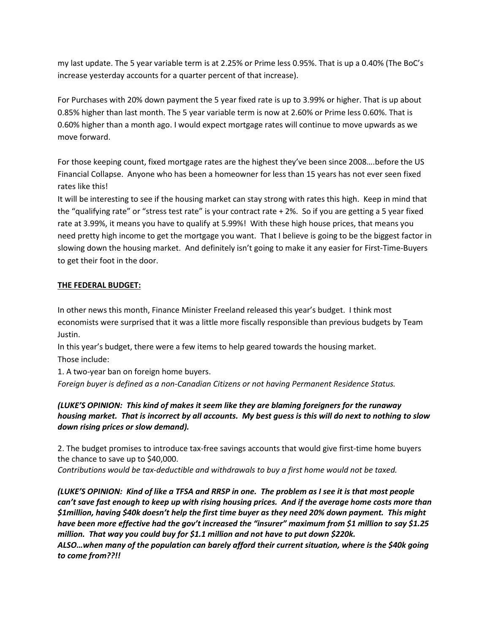my last update. The 5 year variable term is at 2.25% or Prime less 0.95%. That is up a 0.40% (The BoC's increase yesterday accounts for a quarter percent of that increase).

For Purchases with 20% down payment the 5 year fixed rate is up to 3.99% or higher. That is up about 0.85% higher than last month. The 5 year variable term is now at 2.60% or Prime less 0.60%. That is 0.60% higher than a month ago. I would expect mortgage rates will continue to move upwards as we move forward.

For those keeping count, fixed mortgage rates are the highest they've been since 2008....before the US Financial Collapse. Anyone who has been a homeowner for less than 15 years has not ever seen fixed rates like this!

It will be interesting to see if the housing market can stay strong with rates this high. Keep in mind that the "qualifying rate" or "stress test rate" is your contract rate + 2%. So if you are getting a 5 year fixed rate at 3.99%, it means you have to qualify at 5.99%! With these high house prices, that means you need pretty high income to get the mortgage you want. That I believe is going to be the biggest factor in slowing down the housing market. And definitely isn't going to make it any easier for First-Time-Buyers to get their foot in the door.

# **THE FEDERAL BUDGET:**

In other news this month, Finance Minister Freeland released this year's budget. I think most economists were surprised that it was a little more fiscally responsible than previous budgets by Team Justin.

In this year's budget, there were a few items to help geared towards the housing market. Those include:

1. A two-year ban on foreign home buyers.

*Foreign buyer is defined as a non-Canadian Citizens or not having Permanent Residence Status.* 

# *(LUKE'S OPINION: This kind of makes it seem like they are blaming foreigners for the runaway housing market. That is incorrect by all accounts. My best guess is this will do next to nothing to slow down rising prices or slow demand).*

2. The budget promises to introduce tax-free savings accounts that would give first-time home buyers the chance to save up to \$40,000.

*Contributions would be tax-deductible and withdrawals to buy a first home would not be taxed.* 

*(LUKE'S OPINION: Kind of like a TFSA and RRSP in one. The problem as I see it is that most people can't save fast enough to keep up with rising housing prices. And if the average home costs more than \$1million, having \$40k doesn't help the first time buyer as they need 20% down payment. This might have been more effective had the gov't increased the "insurer" maximum from \$1 million to say \$1.25 million. That way you could buy for \$1.1 million and not have to put down \$220k.*

*ALSO…when many of the population can barely afford their current situation, where is the \$40k going to come from??!!*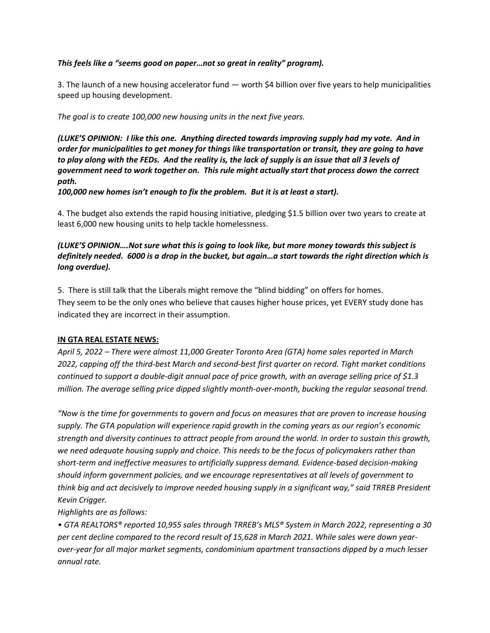### *This feels like a "seems good on paper…not so great in reality" program).*

3. The launch of a new housing accelerator fund — worth \$4 billion over five years to help municipalities speed up housing development.

### *The goal is to create 100,000 new housing units in the next five years.*

*(LUKE'S OPINION: I like this one. Anything directed towards improving supply had my vote. And in order for municipalities to get money for things like transportation or transit, they are going to have to play along with the FEDs. And the reality is, the lack of supply is an issue that all 3 levels of government need to work together on. This rule might actually start that process down the correct path.* 

*100,000 new homes isn't enough to fix the problem. But it is at least a start).*

4. The budget also extends the rapid housing initiative, pledging \$1.5 billion over two years to create at least 6,000 new housing units to help tackle homelessness.

## *(LUKE'S OPINION….Not sure what this is going to look like, but more money towards this subject is definitely needed. 6000 is a drop in the bucket, but again…a start towards the right direction which is long overdue).*

5. There is still talk that the Liberals might remove the "blind bidding" on offers for homes. They seem to be the only ones who believe that causes higher house prices, yet EVERY study done has indicated they are incorrect in their assumption.

## **IN GTA REAL ESTATE NEWS:**

*April 5, 2022 – There were almost 11,000 Greater Toronto Area (GTA) home sales reported in March 2022, capping off the third-best March and second-best first quarter on record. Tight market conditions continued to support a double-digit annual pace of price growth, with an average selling price of \$1.3 million. The average selling price dipped slightly month-over-month, bucking the regular seasonal trend.* 

*"Now is the time for governments to govern and focus on measures that are proven to increase housing supply. The GTA population will experience rapid growth in the coming years as our region's economic strength and diversity continues to attract people from around the world. In order to sustain this growth, we need adequate housing supply and choice. This needs to be the focus of policymakers rather than short-term and ineffective measures to artificially suppress demand. Evidence-based decision-making should inform government policies, and we encourage representatives at all levels of government to think big and act decisively to improve needed housing supply in a significant way," said TRREB President Kevin Crigger.* 

*Highlights are as follows:* 

*• GTA REALTORS® reported 10,955 sales through TRREB's MLS® System in March 2022, representing a 30 per cent decline compared to the record result of 15,628 in March 2021. While sales were down yearover-year for all major market segments, condominium apartment transactions dipped by a much lesser annual rate.*